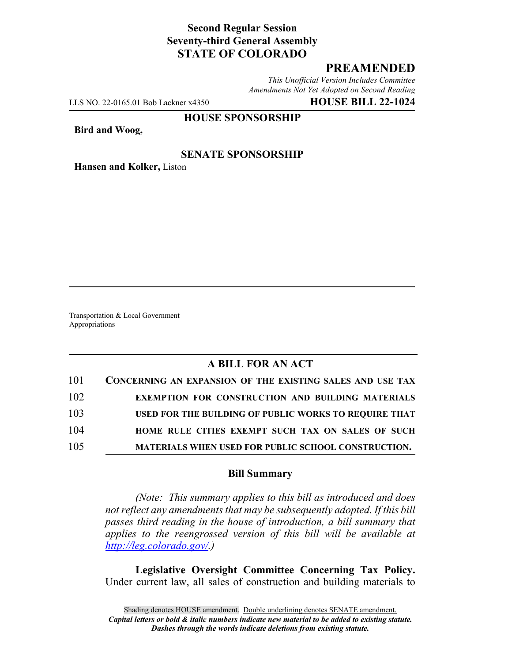# **Second Regular Session Seventy-third General Assembly STATE OF COLORADO**

# **PREAMENDED**

*This Unofficial Version Includes Committee Amendments Not Yet Adopted on Second Reading*

LLS NO. 22-0165.01 Bob Lackner x4350 **HOUSE BILL 22-1024**

#### **HOUSE SPONSORSHIP**

**Bird and Woog,**

## **SENATE SPONSORSHIP**

**Hansen and Kolker,** Liston

Transportation & Local Government Appropriations

# **A BILL FOR AN ACT**

| 101 | CONCERNING AN EXPANSION OF THE EXISTING SALES AND USE TAX  |
|-----|------------------------------------------------------------|
| 102 | <b>EXEMPTION FOR CONSTRUCTION AND BUILDING MATERIALS</b>   |
| 103 | USED FOR THE BUILDING OF PUBLIC WORKS TO REQUIRE THAT      |
| 104 | HOME RULE CITIES EXEMPT SUCH TAX ON SALES OF SUCH          |
| 105 | <b>MATERIALS WHEN USED FOR PUBLIC SCHOOL CONSTRUCTION.</b> |

### **Bill Summary**

*(Note: This summary applies to this bill as introduced and does not reflect any amendments that may be subsequently adopted. If this bill passes third reading in the house of introduction, a bill summary that applies to the reengrossed version of this bill will be available at http://leg.colorado.gov/.)*

**Legislative Oversight Committee Concerning Tax Policy.** Under current law, all sales of construction and building materials to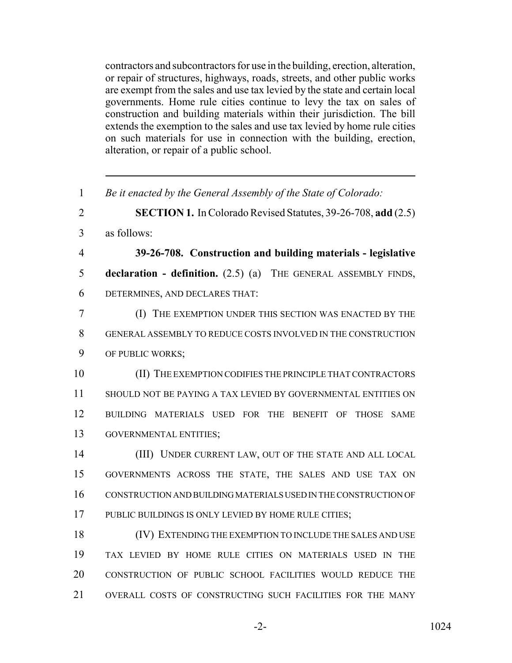contractors and subcontractors for use in the building, erection, alteration, or repair of structures, highways, roads, streets, and other public works are exempt from the sales and use tax levied by the state and certain local governments. Home rule cities continue to levy the tax on sales of construction and building materials within their jurisdiction. The bill extends the exemption to the sales and use tax levied by home rule cities on such materials for use in connection with the building, erection, alteration, or repair of a public school.

 *Be it enacted by the General Assembly of the State of Colorado:* **SECTION 1.** In Colorado Revised Statutes, 39-26-708, **add** (2.5) as follows: **39-26-708. Construction and building materials - legislative declaration - definition.** (2.5) (a) THE GENERAL ASSEMBLY FINDS, DETERMINES, AND DECLARES THAT: (I) THE EXEMPTION UNDER THIS SECTION WAS ENACTED BY THE GENERAL ASSEMBLY TO REDUCE COSTS INVOLVED IN THE CONSTRUCTION OF PUBLIC WORKS; (II) THE EXEMPTION CODIFIES THE PRINCIPLE THAT CONTRACTORS SHOULD NOT BE PAYING A TAX LEVIED BY GOVERNMENTAL ENTITIES ON BUILDING MATERIALS USED FOR THE BENEFIT OF THOSE SAME GOVERNMENTAL ENTITIES; (III) UNDER CURRENT LAW, OUT OF THE STATE AND ALL LOCAL GOVERNMENTS ACROSS THE STATE, THE SALES AND USE TAX ON CONSTRUCTION AND BUILDING MATERIALS USED IN THE CONSTRUCTION OF PUBLIC BUILDINGS IS ONLY LEVIED BY HOME RULE CITIES; (IV) EXTENDING THE EXEMPTION TO INCLUDE THE SALES AND USE TAX LEVIED BY HOME RULE CITIES ON MATERIALS USED IN THE CONSTRUCTION OF PUBLIC SCHOOL FACILITIES WOULD REDUCE THE

OVERALL COSTS OF CONSTRUCTING SUCH FACILITIES FOR THE MANY

-2- 1024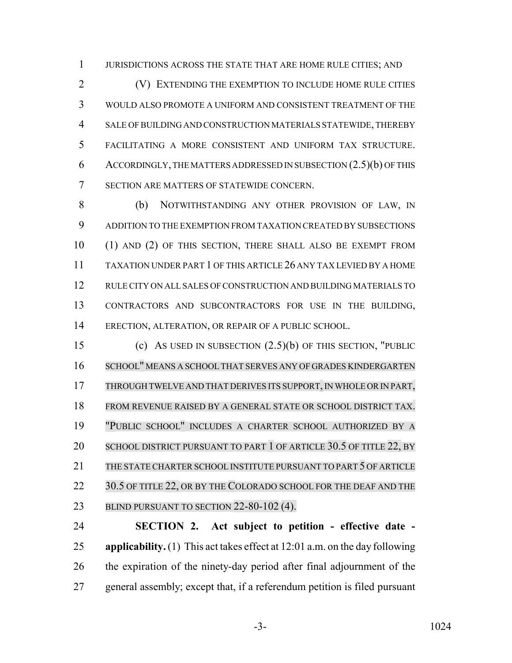JURISDICTIONS ACROSS THE STATE THAT ARE HOME RULE CITIES; AND

 (V) EXTENDING THE EXEMPTION TO INCLUDE HOME RULE CITIES WOULD ALSO PROMOTE A UNIFORM AND CONSISTENT TREATMENT OF THE SALE OF BUILDING AND CONSTRUCTION MATERIALS STATEWIDE, THEREBY FACILITATING A MORE CONSISTENT AND UNIFORM TAX STRUCTURE. ACCORDINGLY, THE MATTERS ADDRESSED IN SUBSECTION (2.5)(b) OF THIS SECTION ARE MATTERS OF STATEWIDE CONCERN.

 (b) NOTWITHSTANDING ANY OTHER PROVISION OF LAW, IN ADDITION TO THE EXEMPTION FROM TAXATION CREATED BY SUBSECTIONS (1) AND (2) OF THIS SECTION, THERE SHALL ALSO BE EXEMPT FROM TAXATION UNDER PART 1 OF THIS ARTICLE 26 ANY TAX LEVIED BY A HOME RULE CITY ON ALL SALES OF CONSTRUCTION AND BUILDING MATERIALS TO CONTRACTORS AND SUBCONTRACTORS FOR USE IN THE BUILDING, ERECTION, ALTERATION, OR REPAIR OF A PUBLIC SCHOOL.

 (c) AS USED IN SUBSECTION (2.5)(b) OF THIS SECTION, "PUBLIC SCHOOL" MEANS A SCHOOL THAT SERVES ANY OF GRADES KINDERGARTEN 17 THROUGH TWELVE AND THAT DERIVES ITS SUPPORT, IN WHOLE OR IN PART, FROM REVENUE RAISED BY A GENERAL STATE OR SCHOOL DISTRICT TAX. "PUBLIC SCHOOL" INCLUDES A CHARTER SCHOOL AUTHORIZED BY A 20 SCHOOL DISTRICT PURSUANT TO PART 1 OF ARTICLE 30.5 OF TITLE 22, BY THE STATE CHARTER SCHOOL INSTITUTE PURSUANT TO PART 5 OF ARTICLE 22 30.5 OF TITLE 22, OR BY THE COLORADO SCHOOL FOR THE DEAF AND THE 23 BLIND PURSUANT TO SECTION 22-80-102 (4).

 **SECTION 2. Act subject to petition - effective date - applicability.** (1) This act takes effect at 12:01 a.m. on the day following the expiration of the ninety-day period after final adjournment of the general assembly; except that, if a referendum petition is filed pursuant